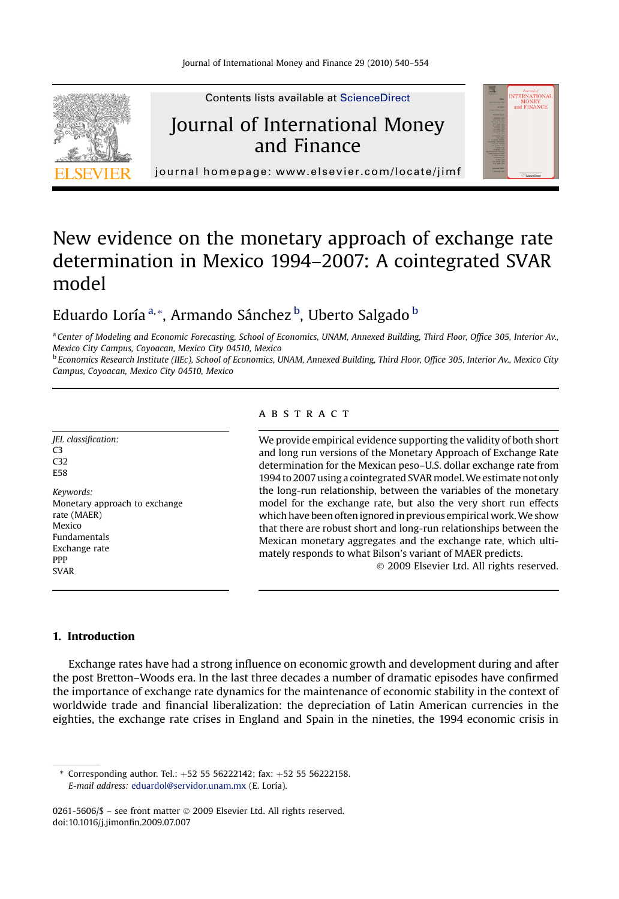

Contents lists available at [ScienceDirect](www.sciencedirect.com/science/journal/02615606)

## Journal of International Money and Finance



journal homepage:<www.elsevier.com/locate/jimf>

# New evidence on the monetary approach of exchange rate determination in Mexico 1994–2007: A cointegrated SVAR model

### Eduardo Loría <sup>a,</sup>\*, Armando Sánchez <sup>b</sup>, Uberto Salgado <sup>b</sup>

a Center of Modeling and Economic Forecasting, School of Economics, UNAM, Annexed Building, Third Floor, Office 305, Interior Av., Mexico City Campus, Coyoacan, Mexico City 04510, Mexico

<sup>b</sup> Economics Research Institute (IIEc), School of Economics, UNAM, Annexed Building, Third Floor, Office 305, Interior Av., Mexico City Campus, Coyoacan, Mexico City 04510, Mexico

JEL classification:  $C<sub>3</sub>$ C32 E58

Keywords: Monetary approach to exchange rate (MAER) Mexico Fundamentals Exchange rate PPP SVAR

#### **ABSTRACT**

We provide empirical evidence supporting the validity of both short and long run versions of the Monetary Approach of Exchange Rate determination for the Mexican peso–U.S. dollar exchange rate from 1994 to 2007 using a cointegrated SVAR model.We estimate not only the long-run relationship, between the variables of the monetary model for the exchange rate, but also the very short run effects which have been often ignored in previous empirical work.We show that there are robust short and long-run relationships between the Mexican monetary aggregates and the exchange rate, which ultimately responds to what Bilson's variant of MAER predicts.

- 2009 Elsevier Ltd. All rights reserved.

#### 1. Introduction

Exchange rates have had a strong influence on economic growth and development during and after the post Bretton–Woods era. In the last three decades a number of dramatic episodes have confirmed the importance of exchange rate dynamics for the maintenance of economic stability in the context of worldwide trade and financial liberalization: the depreciation of Latin American currencies in the eighties, the exchange rate crises in England and Spain in the nineties, the 1994 economic crisis in

\* Corresponding author. Tel.:  $+52$  55 56222142; fax:  $+52$  55 56222158. E-mail address: [eduardol@servidor.unam.mx](mailto:eduardol@servidor.unam.mx) (E. Loría).

0261-5606/\$ – see front matter © 2009 Elsevier Ltd. All rights reserved. doi:10.1016/j.jimonfin.2009.07.007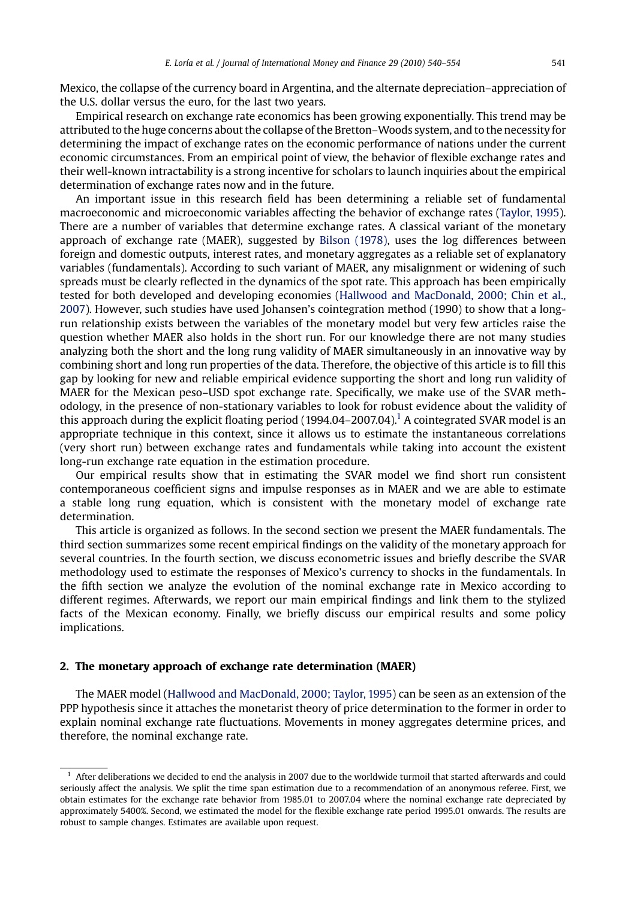Mexico, the collapse of the currency board in Argentina, and the alternate depreciation–appreciation of the U.S. dollar versus the euro, for the last two years.

Empirical research on exchange rate economics has been growing exponentially. This trend may be attributed to the huge concerns about the collapse of the Bretton–Woods system, and to the necessity for determining the impact of exchange rates on the economic performance of nations under the current economic circumstances. From an empirical point of view, the behavior of flexible exchange rates and their well-known intractability is a strong incentive for scholars to launch inquiries about the empirical determination of exchange rates now and in the future.

An important issue in this research field has been determining a reliable set of fundamental macroeconomic and microeconomic variables affecting the behavior of exchange rates [\(Taylor, 1995\)](#page--1-0). There are a number of variables that determine exchange rates. A classical variant of the monetary approach of exchange rate (MAER), suggested by [Bilson \(1978\),](#page--1-0) uses the log differences between foreign and domestic outputs, interest rates, and monetary aggregates as a reliable set of explanatory variables (fundamentals). According to such variant of MAER, any misalignment or widening of such spreads must be clearly reflected in the dynamics of the spot rate. This approach has been empirically tested for both developed and developing economies ([Hallwood and MacDonald, 2000; Chin et al.,](#page--1-0) [2007\)](#page--1-0). However, such studies have used Johansen's cointegration method (1990) to show that a longrun relationship exists between the variables of the monetary model but very few articles raise the question whether MAER also holds in the short run. For our knowledge there are not many studies analyzing both the short and the long rung validity of MAER simultaneously in an innovative way by combining short and long run properties of the data. Therefore, the objective of this article is to fill this gap by looking for new and reliable empirical evidence supporting the short and long run validity of MAER for the Mexican peso–USD spot exchange rate. Specifically, we make use of the SVAR methodology, in the presence of non-stationary variables to look for robust evidence about the validity of this approach during the explicit floating period  $(1994.04-2007.04)$ .<sup>1</sup> A cointegrated SVAR model is an appropriate technique in this context, since it allows us to estimate the instantaneous correlations (very short run) between exchange rates and fundamentals while taking into account the existent long-run exchange rate equation in the estimation procedure.

Our empirical results show that in estimating the SVAR model we find short run consistent contemporaneous coefficient signs and impulse responses as in MAER and we are able to estimate a stable long rung equation, which is consistent with the monetary model of exchange rate determination.

This article is organized as follows. In the second section we present the MAER fundamentals. The third section summarizes some recent empirical findings on the validity of the monetary approach for several countries. In the fourth section, we discuss econometric issues and briefly describe the SVAR methodology used to estimate the responses of Mexico's currency to shocks in the fundamentals. In the fifth section we analyze the evolution of the nominal exchange rate in Mexico according to different regimes. Afterwards, we report our main empirical findings and link them to the stylized facts of the Mexican economy. Finally, we briefly discuss our empirical results and some policy implications.

#### 2. The monetary approach of exchange rate determination (MAER)

The MAER model ([Hallwood and MacDonald, 2000; Taylor, 1995\)](#page--1-0) can be seen as an extension of the PPP hypothesis since it attaches the monetarist theory of price determination to the former in order to explain nominal exchange rate fluctuations. Movements in money aggregates determine prices, and therefore, the nominal exchange rate.

 $<sup>1</sup>$  After deliberations we decided to end the analysis in 2007 due to the worldwide turmoil that started afterwards and could</sup> seriously affect the analysis. We split the time span estimation due to a recommendation of an anonymous referee. First, we obtain estimates for the exchange rate behavior from 1985.01 to 2007.04 where the nominal exchange rate depreciated by approximately 5400%. Second, we estimated the model for the flexible exchange rate period 1995.01 onwards. The results are robust to sample changes. Estimates are available upon request.